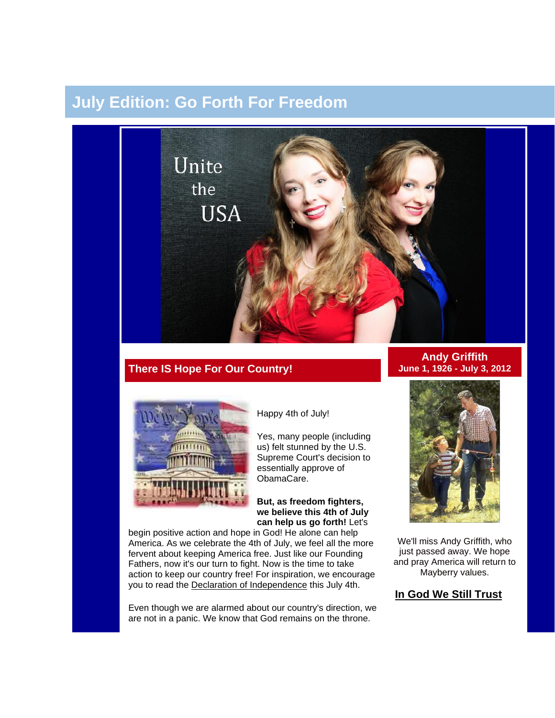# **July Edition: Go Forth For Freedom**



# **There IS Hope For Our Country!**



Happy 4th of July!

Yes, many people (including us) felt stunned by the U.S. Supreme Court's decision to essentially approve of ObamaCare.

#### **But, as freedom fighters, we believe this 4th of July can help us go forth!** Let's

begin positive action and hope in God! He alone can help America. As we celebrate the 4th of July, we feel all the more fervent about keeping America free. Just like our Founding Fathers, now it's our turn to fight. Now is the time to take action to keep our country free! For inspiration, we encourage you to read the [Declaration of Independence](http://www.wallbuilders.com/LIBissuesArticles.asp?id=25685) this July 4th.

Even though we are alarmed about our country's direction, we are not in a panic. We know that God remains on the throne.

### **Andy Griffith June 1, 1926 - July 3, 2012**



We'll miss Andy Griffith, who just passed away. We hope and pray America will return to Mayberry values.

## **[In God We Still Trust](http://unitetheusa.org/id56.html)**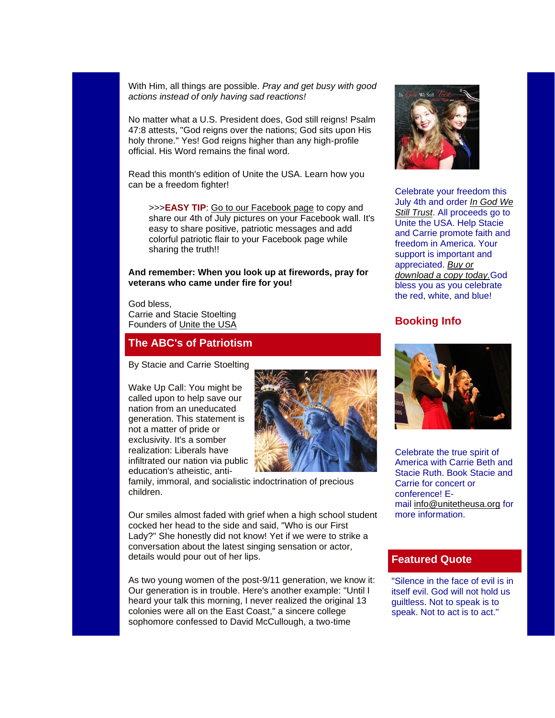With Him, all things are possible. *Pray and get busy with good actions instead of only having sad reactions!*

No matter what a U.S. President does, God still reigns! Psalm 47:8 attests, "God reigns over the nations; God sits upon His holy throne." Yes! God reigns higher than any high-profile official. His Word remains the final word.

Read this month's edition of Unite the USA. Learn how you can be a freedom fighter!

>>>**EASY TIP**: [Go to our Facebook page](https://www.facebook.com/pages/Unite-the-USA/200053406703556#!/pages/Unite-the-USA/200053406703556) to copy and share our 4th of July pictures on your Facebook wall. It's easy to share positive, patriotic messages and add colorful patriotic flair to your Facebook page while sharing the truth!!

#### **And remember: When you look up at firewords, pray for veterans who came under fire for you!**

God bless, Carrie and Stacie Stoelting Founders of [Unite the USA](http://unitetheusa.org/index.html)

### **The ABC's of Patriotism**

By Stacie and Carrie Stoelting

Wake Up Call: You might be called upon to help save our nation from an uneducated generation. This statement is not a matter of pride or exclusivity. It's a somber realization: Liberals have infiltrated our nation via public education's atheistic, anti-



family, immoral, and socialistic indoctrination of precious children.

Our smiles almost faded with grief when a high school student cocked her head to the side and said, "Who is our First Lady?" She honestly did not know! Yet if we were to strike a conversation about the latest singing sensation or actor, details would pour out of her lips.

As two young women of the post-9/11 generation, we know it: Our generation is in trouble. Here's another example: "Until I heard your talk this morning, I never realized the original 13 colonies were all on the East Coast," a sincere college sophomore confessed to David McCullough, a two-time



Celebrate your freedom this July 4th and order *[In God We](http://unitetheusa.org/id56.html)  [Still Trust](http://unitetheusa.org/id56.html)*. All proceeds go to Unite the USA. Help Stacie and Carrie promote faith and freedom in America. Your support is important and appreciated. *[Buy or](http://unitetheusa.org/id56.html)  [download a copy today.](http://unitetheusa.org/id56.html)*God bless you as you celebrate the red, white, and blue!

### **Booking Info**



Celebrate the true spirit of America with Carrie Beth and Stacie Ruth. Book Stacie and Carrie for concert or conference! Email [info@unitetheusa.org](mailto:info@unitetheusa.org) for more information.

### **Featured Quote**

"Silence in the face of evil is in itself evil. God will not hold us guiltless. Not to speak is to speak. Not to act is to act."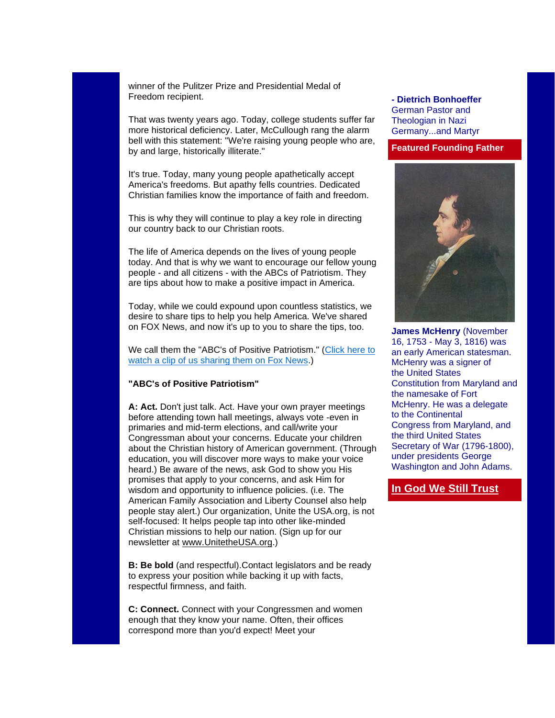winner of the Pulitzer Prize and Presidential Medal of Freedom recipient.

That was twenty years ago. Today, college students suffer far more historical deficiency. Later, McCullough rang the alarm bell with this statement: "We're raising young people who are, by and large, historically illiterate."

It's true. Today, many young people apathetically accept America's freedoms. But apathy fells countries. Dedicated Christian families know the importance of faith and freedom.

This is why they will continue to play a key role in directing our country back to our Christian roots.

The life of America depends on the lives of young people today. And that is why we want to encourage our fellow young people - and all citizens - with the ABCs of Patriotism. They are tips about how to make a positive impact in America.

Today, while we could expound upon countless statistics, we desire to share tips to help you help America. We've shared on FOX News, and now it's up to you to share the tips, too.

We call them the "ABC's of Positive Patriotism." [\(Click here to](http://unitetheusa.org/id78.html)  [watch a clip of us sharing them on Fox News.](http://unitetheusa.org/id78.html))

### **"ABC's of Positive Patriotism"**

**A: Act.** Don't just talk. Act. Have your own prayer meetings before attending town hall meetings, always vote -even in primaries and mid-term elections, and call/write your Congressman about your concerns. Educate your children about the Christian history of American government. (Through education, you will discover more ways to make your voice heard.) Be aware of the news, ask God to show you His promises that apply to your concerns, and ask Him for wisdom and opportunity to influence policies. (i.e. The American Family Association and Liberty Counsel also help people stay alert.) Our organization, Unite the USA.org, is not self-focused: It helps people tap into other like-minded Christian missions to help our nation. (Sign up for our newsletter at [www.UnitetheUSA.org.](http://r20.rs6.net/tn.jsp?e=001VVOD2vubR7H6d5qvC-PO7LuMdGXRFw-D4mIIoBoLP4p47k3vPypuJwlLs7jvLL8gaaRjabbNYgVDuXu_eI5M4DXB0XoqvYuffW8YLzg8qILiPyPETgBMzg==))

**B: Be bold** (and respectful). Contact legislators and be ready to express your position while backing it up with facts, respectful firmness, and faith.

**C: Connect.** Connect with your Congressmen and women enough that they know your name. Often, their offices correspond more than you'd expect! Meet your

#### **- Dietrich Bonhoeffer** German Pastor and Theologian in Nazi Germany...and Martyr

#### **Featured Founding Father**



**James McHenry** (November 16, 1753 - May 3, 1816) was an early American statesman. McHenry was a signer of the United States Constitution from Maryland and the namesake of Fort McHenry. He was a delegate to the Continental Congress from Maryland, and the third United States Secretary of War (1796-1800), under presidents George Washington and John Adams.

### **[In God We Still Trust](http://www.youtube.com/watch?v=FygzW-tLye0&feature=youtu.be)**